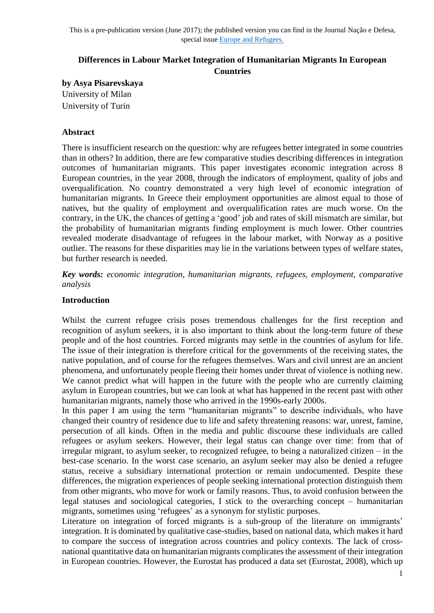# **Differences in Labour Market Integration of Humanitarian Migrants In European Countries**

**by Asya Pisarevskaya** University of Milan University of Turin

## **Abstract**

There is insufficient research on the question: why are refugees better integrated in some countries than in others? In addition, there are few comparative studies describing differences in integration outcomes of humanitarian migrants. This paper investigates economic integration across 8 European countries, in the year 2008, through the indicators of employment, quality of jobs and overqualification. No country demonstrated a very high level of economic integration of humanitarian migrants. In Greece their employment opportunities are almost equal to those of natives, but the quality of employment and overqualification rates are much worse. On the contrary, in the UK, the chances of getting a 'good' job and rates of skill mismatch are similar, but the probability of humanitarian migrants finding employment is much lower. Other countries revealed moderate disadvantage of refugees in the labour market, with Norway as a positive outlier. The reasons for these disparities may lie in the variations between types of welfare states, but further research is needed.

*Key words: economic integration, humanitarian migrants, refugees, employment, comparative analysis*

### **Introduction**

Whilst the current refugee crisis poses tremendous challenges for the first reception and recognition of asylum seekers, it is also important to think about the long-term future of these people and of the host countries. Forced migrants may settle in the countries of asylum for life. The issue of their integration is therefore critical for the governments of the receiving states, the native population, and of course for the refugees themselves. Wars and civil unrest are an ancient phenomena, and unfortunately people fleeing their homes under threat of violence is nothing new. We cannot predict what will happen in the future with the people who are currently claiming asylum in European countries, but we can look at what has happened in the recent past with other humanitarian migrants, namely those who arrived in the 1990s-early 2000s.

In this paper I am using the term "humanitarian migrants" to describe individuals, who have changed their country of residence due to life and safety threatening reasons: war, unrest, famine, persecution of all kinds. Often in the media and public discourse these individuals are called refugees or asylum seekers. However, their legal status can change over time: from that of irregular migrant, to asylum seeker, to recognized refugee, to being a naturalized citizen – in the best-case scenario. In the worst case scenario, an asylum seeker may also be denied a refugee status, receive a subsidiary international protection or remain undocumented. Despite these differences, the migration experiences of people seeking international protection distinguish them from other migrants, who move for work or family reasons. Thus, to avoid confusion between the legal statuses and sociological categories, I stick to the overarching concept – humanitarian migrants, sometimes using 'refugees' as a synonym for stylistic purposes.

Literature on integration of forced migrants is a sub-group of the literature on immigrants' integration. It is dominated by qualitative case-studies, based on national data, which makes it hard to compare the success of integration across countries and policy contexts. The lack of crossnational quantitative data on humanitarian migrants complicates the assessment of their integration in European countries. However, the Eurostat has produced a data set (Eurostat, 2008), which up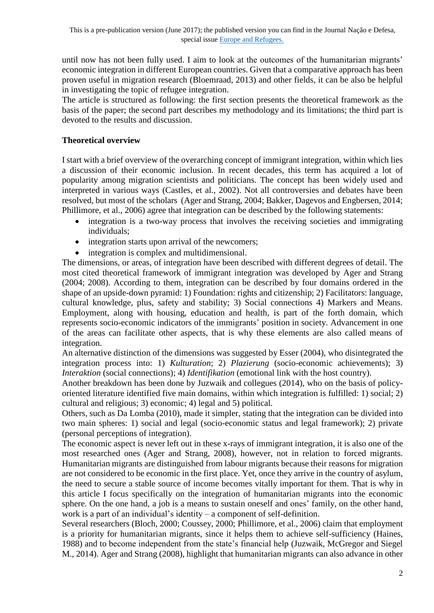until now has not been fully used. I aim to look at the outcomes of the humanitarian migrants' economic integration in different European countries. Given that a comparative approach has been proven useful in migration research (Bloemraad, 2013) and other fields, it can be also be helpful in investigating the topic of refugee integration.

The article is structured as following: the first section presents the theoretical framework as the basis of the paper; the second part describes my methodology and its limitations; the third part is devoted to the results and discussion.

# **Theoretical overview**

I start with a brief overview of the overarching concept of immigrant integration, within which lies a discussion of their economic inclusion. In recent decades, this term has acquired a lot of popularity among migration scientists and politicians. The concept has been widely used and interpreted in various ways (Castles, et al., 2002). Not all controversies and debates have been resolved, but most of the scholars (Ager and Strang, 2004; Bakker, Dagevos and Engbersen, 2014; Phillimore, et al., 2006) agree that integration can be described by the following statements:

- integration is a two-way process that involves the receiving societies and immigrating individuals;
- integration starts upon arrival of the newcomers;
- integration is complex and multidimensional.

The dimensions, or areas, of integration have been described with different degrees of detail. The most cited theoretical framework of immigrant integration was developed by Ager and Strang (2004; 2008). According to them, integration can be described by four domains ordered in the shape of an upside-down pyramid: 1) Foundation: rights and citizenship; 2) Facilitators: language, cultural knowledge, plus, safety and stability; 3) Social connections 4) Markers and Means. Employment, along with housing, education and health, is part of the forth domain, which represents socio-economic indicators of the immigrants' position in society. Advancement in one of the areas can facilitate other aspects, that is why these elements are also called means of integration.

An alternative distinction of the dimensions was suggested by Esser (2004), who disintegrated the integration process into: 1) *Kulturation*; 2) *Plazierung* (socio-economic achievements); 3) *Interaktion* (social connections); 4) *Identifikation* (emotional link with the host country).

Another breakdown has been done by Juzwaik and collegues (2014), who on the basis of policyoriented literature identified five main domains, within which integration is fulfilled: 1) social; 2) cultural and religious; 3) economic; 4) legal and 5) political.

Others, such as Da Lomba (2010), made it simpler, stating that the integration can be divided into two main spheres: 1) social and legal (socio-economic status and legal framework); 2) private (personal perceptions of integration).

The economic aspect is never left out in these x-rays of immigrant integration, it is also one of the most researched ones (Ager and Strang, 2008), however, not in relation to forced migrants. Humanitarian migrants are distinguished from labour migrants because their reasons for migration are not considered to be economic in the first place. Yet, once they arrive in the country of asylum, the need to secure a stable source of income becomes vitally important for them. That is why in this article I focus specifically on the integration of humanitarian migrants into the economic sphere. On the one hand, a job is a means to sustain oneself and ones' family, on the other hand, work is a part of an individual's identity – a component of self-definition.

Several researchers (Bloch, 2000; Coussey, 2000; Phillimore, et al., 2006) claim that employment is a priority for humanitarian migrants, since it helps them to achieve self-sufficiency (Haines, 1988) and to become independent from the state's financial help (Juzwaik, McGregor and Siegel M., 2014). Ager and Strang (2008), highlight that humanitarian migrants can also advance in other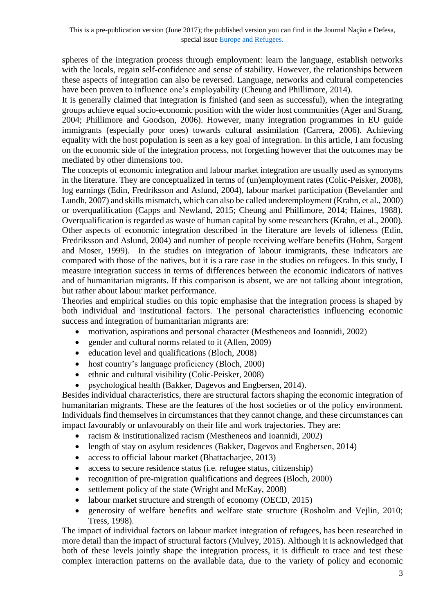spheres of the integration process through employment: learn the language, establish networks with the locals, regain self-confidence and sense of stability. However, the relationships between these aspects of integration can also be reversed. Language, networks and cultural competencies have been proven to influence one's employability (Cheung and Phillimore, 2014).

It is generally claimed that integration is finished (and seen as successful), when the integrating groups achieve equal socio-economic position with the wider host communities (Ager and Strang, 2004; Phillimore and Goodson, 2006). However, many integration programmes in EU guide immigrants (especially poor ones) towards cultural assimilation (Carrera, 2006). Achieving equality with the host population is seen as a key goal of integration. In this article, I am focusing on the economic side of the integration process, not forgetting however that the outcomes may be mediated by other dimensions too.

The concepts of economic integration and labour market integration are usually used as synonyms in the literature. They are conceptualized in terms of (un)employment rates (Colic-Peisker, 2008), log earnings (Edin, Fredriksson and Aslund, 2004), labour market participation (Bevelander and Lundh, 2007) and skills mismatch, which can also be called underemployment (Krahn, et al., 2000) or overqualification (Capps and Newland, 2015; Cheung and Phillimore, 2014; Haines, 1988). Overqualification is regarded as waste of human capital by some researchers (Krahn, et al., 2000). Other aspects of economic integration described in the literature are levels of idleness (Edin, Fredriksson and Aslund, 2004) and number of people receiving welfare benefits (Hohm, Sargent and Moser, 1999). In the studies on integration of labour immigrants, these indicators are compared with those of the natives, but it is a rare case in the studies on refugees. In this study, I measure integration success in terms of differences between the economic indicators of natives and of humanitarian migrants. If this comparison is absent, we are not talking about integration, but rather about labour market performance.

Theories and empirical studies on this topic emphasise that the integration process is shaped by both individual and institutional factors. The personal characteristics influencing economic success and integration of humanitarian migrants are:

- motivation, aspirations and personal character (Mestheneos and Ioannidi, 2002)
- gender and cultural norms related to it (Allen, 2009)
- education level and qualifications (Bloch, 2008)
- host country's language proficiency (Bloch, 2000)
- ethnic and cultural visibility (Colic-Peisker, 2008)
- psychological health (Bakker, Dagevos and Engbersen, 2014).

Besides individual characteristics, there are structural factors shaping the economic integration of humanitarian migrants. These are the features of the host societies or of the policy environment. Individuals find themselves in circumstances that they cannot change, and these circumstances can impact favourably or unfavourably on their life and work trajectories. They are:

- racism & institutionalized racism (Mestheneos and Ioannidi, 2002)
- length of stay on asylum residences (Bakker, Dagevos and Engbersen, 2014)
- access to official labour market (Bhattacharjee, 2013)
- access to secure residence status (i.e. refugee status, citizenship)
- recognition of pre-migration qualifications and degrees (Bloch, 2000)
- settlement policy of the state (Wright and McKay, 2008)
- labour market structure and strength of economy (OECD, 2015)
- generosity of welfare benefits and welfare state structure (Rosholm and Vejlin, 2010; Tress, 1998).

The impact of individual factors on labour market integration of refugees, has been researched in more detail than the impact of structural factors (Mulvey, 2015). Although it is acknowledged that both of these levels jointly shape the integration process, it is difficult to trace and test these complex interaction patterns on the available data, due to the variety of policy and economic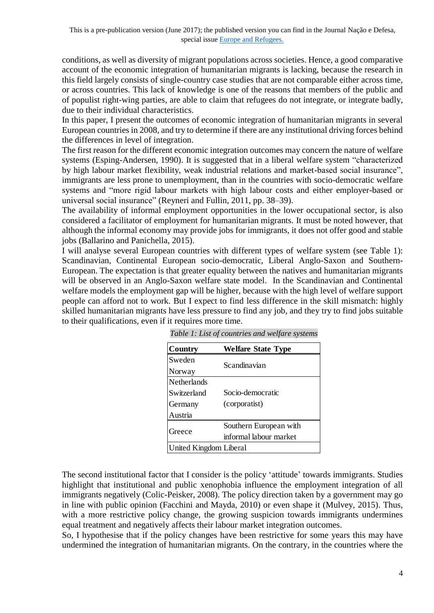conditions, as well as diversity of migrant populations across societies. Hence, a good comparative account of the economic integration of humanitarian migrants is lacking, because the research in this field largely consists of single-country case studies that are not comparable either across time, or across countries. This lack of knowledge is one of the reasons that members of the public and of populist right-wing parties, are able to claim that refugees do not integrate, or integrate badly, due to their individual characteristics.

In this paper, I present the outcomes of economic integration of humanitarian migrants in several European countries in 2008, and try to determine if there are any institutional driving forces behind the differences in level of integration.

The first reason for the different economic integration outcomes may concern the nature of welfare systems (Esping-Andersen, 1990). It is suggested that in a liberal welfare system "characterized by high labour market flexibility, weak industrial relations and market-based social insurance", immigrants are less prone to unemployment, than in the countries with socio-democratic welfare systems and "more rigid labour markets with high labour costs and either employer-based or universal social insurance" (Reyneri and Fullin, 2011, pp. 38–39).

The availability of informal employment opportunities in the lower occupational sector, is also considered a facilitator of employment for humanitarian migrants. It must be noted however, that although the informal economy may provide jobs for immigrants, it does not offer good and stable jobs (Ballarino and Panichella, 2015).

I will analyse several European countries with different types of welfare system (see Table 1): Scandinavian, Continental European socio-democratic, Liberal Anglo-Saxon and Southern-European. The expectation is that greater equality between the natives and humanitarian migrants will be observed in an Anglo-Saxon welfare state model. In the Scandinavian and Continental welfare models the employment gap will be higher, because with the high level of welfare support people can afford not to work. But I expect to find less difference in the skill mismatch: highly skilled humanitarian migrants have less pressure to find any job, and they try to find jobs suitable to their qualifications, even if it requires more time.

| <b>Country</b>         | <b>Welfare State Type</b> |
|------------------------|---------------------------|
| Sweden                 | Scandinavian              |
| Norway                 |                           |
| Netherlands            |                           |
| Switzerland            | Socio-democratic          |
| Germany                | (corporatist)             |
| Austria                |                           |
|                        | Southern European with    |
| Greece                 | informal labour market    |
| United Kingdom Liberal |                           |

*Table 1: List of countries and welfare systems Table 1: List of countries and welfare systems*

The second institutional factor that I consider is the policy 'attitude' towards immigrants. Studies highlight that institutional and public xenophobia influence the employment integration of all immigrants negatively (Colic-Peisker, 2008). The policy direction taken by a government may go in line with public opinion (Facchini and Mayda, 2010) or even shape it (Mulvey, 2015). Thus, with a more restrictive policy change, the growing suspicion towards immigrants undermines equal treatment and negatively affects their labour market integration outcomes.

So, I hypothesise that if the policy changes have been restrictive for some years this may have undermined the integration of humanitarian migrants. On the contrary, in the countries where the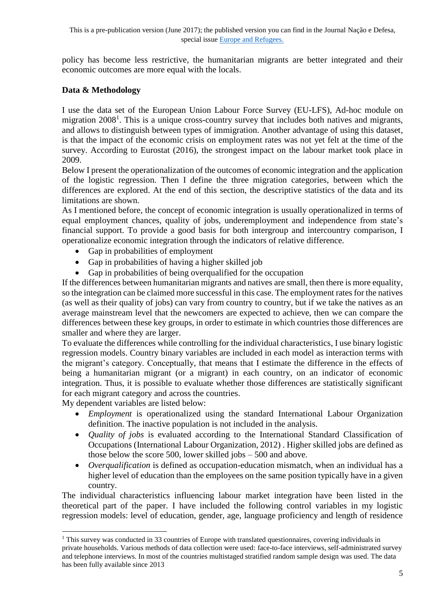policy has become less restrictive, the humanitarian migrants are better integrated and their economic outcomes are more equal with the locals.

# **Data & Methodology**

I use the data set of the European Union Labour Force Survey (EU-LFS), Ad-hoc module on migration 2008<sup>1</sup>. This is a unique cross-country survey that includes both natives and migrants, and allows to distinguish between types of immigration. Another advantage of using this dataset, is that the impact of the economic crisis on employment rates was not yet felt at the time of the survey. According to Eurostat (2016), the strongest impact on the labour market took place in 2009.

Below I present the operationalization of the outcomes of economic integration and the application of the logistic regression. Then I define the three migration categories, between which the differences are explored. At the end of this section, the descriptive statistics of the data and its limitations are shown.

As I mentioned before, the concept of economic integration is usually operationalized in terms of equal employment chances, quality of jobs, underemployment and independence from state's financial support. To provide a good basis for both intergroup and intercountry comparison, I operationalize economic integration through the indicators of relative difference.

- Gap in probabilities of employment
- Gap in probabilities of having a higher skilled job
- Gap in probabilities of being overqualified for the occupation

If the differences between humanitarian migrants and natives are small, then there is more equality, so the integration can be claimed more successful in this case. The employment rates for the natives (as well as their quality of jobs) can vary from country to country, but if we take the natives as an average mainstream level that the newcomers are expected to achieve, then we can compare the differences between these key groups, in order to estimate in which countries those differences are smaller and where they are larger.

To evaluate the differences while controlling for the individual characteristics, I use binary logistic regression models. Country binary variables are included in each model as interaction terms with the migrant's category. Conceptually, that means that I estimate the difference in the effects of being a humanitarian migrant (or a migrant) in each country, on an indicator of economic integration. Thus, it is possible to evaluate whether those differences are statistically significant for each migrant category and across the countries.

My dependent variables are listed below:

-

- *Employment* is operationalized using the standard International Labour Organization definition. The inactive population is not included in the analysis.
- *Quality of jobs* is evaluated according to the International Standard Classification of Occupations (International Labour Organization, 2012) . Higher skilled jobs are defined as those below the score 500, lower skilled jobs – 500 and above.
- *Overqualification* is defined as occupation-education mismatch, when an individual has a higher level of education than the employees on the same position typically have in a given country.

The individual characteristics influencing labour market integration have been listed in the theoretical part of the paper. I have included the following control variables in my logistic regression models: level of education, gender, age, language proficiency and length of residence

<sup>&</sup>lt;sup>1</sup> This survey was conducted in 33 countries of Europe with translated questionnaires, covering individuals in private households. Various methods of data collection were used: face-to-face interviews, self-administrated survey and telephone interviews. In most of the countries multistaged stratified random sample design was used. The data has been fully available since 2013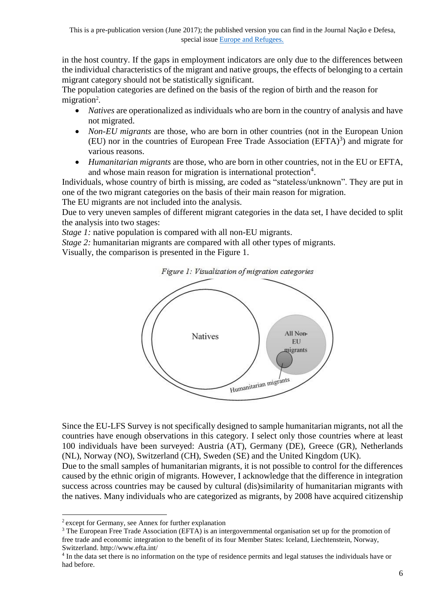in the host country. If the gaps in employment indicators are only due to the differences between the individual characteristics of the migrant and native groups, the effects of belonging to a certain migrant category should not be statistically significant.

The population categories are defined on the basis of the region of birth and the reason for migration<sup>2</sup>.

- *Natives* are operationalized as individuals who are born in the country of analysis and have not migrated.
- *Non-EU migrants* are those, who are born in other countries (not in the European Union  $(EU)$  nor in the countries of European Free Trade Association  $(EFTA)^3$  and migrate for various reasons.
- *Humanitarian migrants* are those, who are born in other countries, not in the EU or EFTA, and whose main reason for migration is international protection<sup>4</sup>.

Individuals, whose country of birth is missing, are coded as "stateless/unknown". They are put in one of the two migrant categories on the basis of their main reason for migration.

The EU migrants are not included into the analysis.

Due to very uneven samples of different migrant categories in the data set, I have decided to split the analysis into two stages:

*Stage 1:* native population is compared with all non-EU migrants.

*Stage 2:* humanitarian migrants are compared with all other types of migrants.

Visually, the comparison is presented in the Figure 1.



Since the EU-LFS Survey is not specifically designed to sample humanitarian migrants, not all the countries have enough observations in this category. I select only those countries where at least 100 individuals have been surveyed: Austria (AT), Germany (DE), Greece (GR), Netherlands (NL), Norway (NO), Switzerland (CH), Sweden (SE) and the United Kingdom (UK).

Due to the small samples of humanitarian migrants, it is not possible to control for the differences caused by the ethnic origin of migrants. However, I acknowledge that the difference in integration success across countries may be caused by cultural (dis)similarity of humanitarian migrants with the natives. Many individuals who are categorized as migrants, by 2008 have acquired citizenship

-

<sup>&</sup>lt;sup>2</sup> except for Germany, see Annex for further explanation

<sup>3</sup> The European Free Trade Association (EFTA) is an intergovernmental organisation set up for the promotion of free trade and economic integration to the benefit of its four Member States: Iceland, Liechtenstein, Norway, Switzerland. http://www.efta.int/

<sup>&</sup>lt;sup>4</sup> In the data set there is no information on the type of residence permits and legal statuses the individuals have or had before.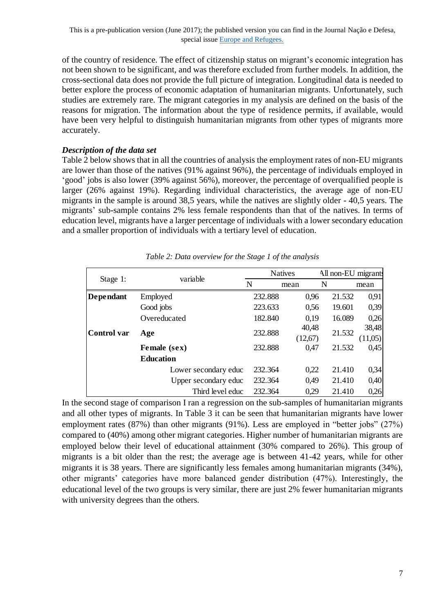of the country of residence. The effect of citizenship status on migrant's economic integration has not been shown to be significant, and was therefore excluded from further models. In addition, the cross-sectional data does not provide the full picture of integration. Longitudinal data is needed to better explore the process of economic adaptation of humanitarian migrants. Unfortunately, such studies are extremely rare. The migrant categories in my analysis are defined on the basis of the reasons for migration. The information about the type of residence permits, if available, would have been very helpful to distinguish humanitarian migrants from other types of migrants more accurately.

#### *Description of the data set*

Table 2 below shows that in all the countries of analysis the employment rates of non-EU migrants are lower than those of the natives (91% against 96%), the percentage of individuals employed in 'good' jobs is also lower (39% against 56%), moreover, the percentage of overqualified people is larger (26% against 19%). Regarding individual characteristics, the average age of non-EU migrants in the sample is around 38,5 years, while the natives are slightly older - 40,5 years. The migrants' sub-sample contains 2% less female respondents than that of the natives. In terms of education level, migrants have a larger percentage of individuals with a lower secondary education and a smaller proportion of individuals with a tertiary level of education.

|                  |                      |         | <b>Natives</b> |   |        | All non-EU migrants |
|------------------|----------------------|---------|----------------|---|--------|---------------------|
| Stage 1:         | variable             | N       | mean           | N |        | mean                |
| <b>Dependant</b> | Employed             | 232.888 | 0,96           |   | 21.532 | 0,91                |
|                  | Good jobs            | 223.633 | 0,56           |   | 19.601 | 0,39                |
|                  | Overeducated         | 182.840 | 0,19           |   | 16.089 | 0,26                |
| Control var      | Age                  | 232.888 | 40,48          |   | 21.532 | 38,48               |
|                  |                      |         | (12,67)        |   |        | (11,05)             |
|                  | Female (sex)         | 232.888 | 0,47           |   | 21.532 | 0,45                |
|                  | <b>Education</b>     |         |                |   |        |                     |
|                  | Lower secondary educ | 232.364 | 0,22           |   | 21.410 | 0,34                |
|                  | Upper secondary educ | 232.364 | 0,49           |   | 21.410 | 0,40                |
|                  | Third level educ     | 232.364 | 0.29           |   | 21.410 | 0,26                |

| Table 2: Data overview for the Stage 1 of the analysis |  |  |  |  |
|--------------------------------------------------------|--|--|--|--|
|--------------------------------------------------------|--|--|--|--|

In the second stage of comparison I ran a regression on the sub-samples of humanitarian migrants and all other types of migrants. In Table 3 it can be seen that humanitarian migrants have lower employment rates (87%) than other migrants (91%). Less are employed in "better jobs" (27%) compared to (40%) among other migrant categories. Higher number of humanitarian migrants are employed below their level of educational attainment (30% compared to 26%). This group of migrants is a bit older than the rest; the average age is between 41-42 years, while for other migrants it is 38 years. There are significantly less females among humanitarian migrants (34%), other migrants' categories have more balanced gender distribution (47%). Interestingly, the educational level of the two groups is very similar, there are just 2% fewer humanitarian migrants with university degrees than the others.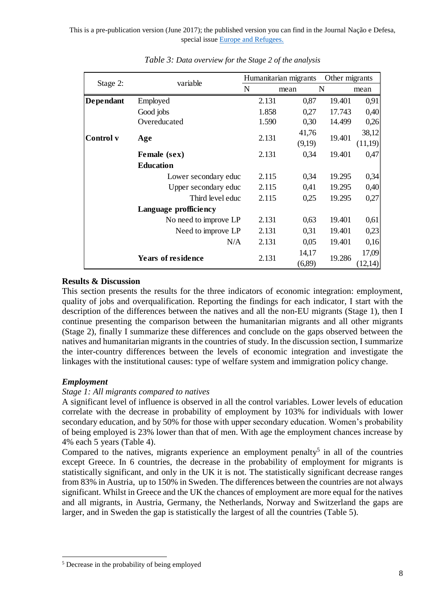|                                                      | variable                                                                                                                                                                                                                                                                                                                                                                                                                                                                                                                                                                                                                                                                                                                                                                                               | Humanitarian migrants |                 | Other migrants |                  |
|------------------------------------------------------|--------------------------------------------------------------------------------------------------------------------------------------------------------------------------------------------------------------------------------------------------------------------------------------------------------------------------------------------------------------------------------------------------------------------------------------------------------------------------------------------------------------------------------------------------------------------------------------------------------------------------------------------------------------------------------------------------------------------------------------------------------------------------------------------------------|-----------------------|-----------------|----------------|------------------|
| Stage 2:                                             |                                                                                                                                                                                                                                                                                                                                                                                                                                                                                                                                                                                                                                                                                                                                                                                                        | ${\bf N}$             | N<br>mean       |                | mean             |
| Dependant                                            | Employed                                                                                                                                                                                                                                                                                                                                                                                                                                                                                                                                                                                                                                                                                                                                                                                               | 2.131                 | 0,87            | 19.401         | 0,91             |
|                                                      | Good jobs                                                                                                                                                                                                                                                                                                                                                                                                                                                                                                                                                                                                                                                                                                                                                                                              | 1.858                 | 0,27            | 17.743         | 0,40             |
|                                                      | Overeducated                                                                                                                                                                                                                                                                                                                                                                                                                                                                                                                                                                                                                                                                                                                                                                                           | 1.590                 | 0,30            | 14.499         | 0,26             |
| Control v                                            | Age                                                                                                                                                                                                                                                                                                                                                                                                                                                                                                                                                                                                                                                                                                                                                                                                    | 2.131                 | 41,76<br>(9,19) | 19.401         | 38,12<br>(11,19) |
|                                                      | Female (sex)                                                                                                                                                                                                                                                                                                                                                                                                                                                                                                                                                                                                                                                                                                                                                                                           | 2.131                 | 0,34            | 19.401         | 0,47             |
|                                                      | <b>Education</b>                                                                                                                                                                                                                                                                                                                                                                                                                                                                                                                                                                                                                                                                                                                                                                                       |                       |                 |                |                  |
|                                                      | Lower secondary educ                                                                                                                                                                                                                                                                                                                                                                                                                                                                                                                                                                                                                                                                                                                                                                                   | 2.115                 | 0,34            | 19.295         | 0,34             |
|                                                      | Upper secondary educ                                                                                                                                                                                                                                                                                                                                                                                                                                                                                                                                                                                                                                                                                                                                                                                   | 2.115                 | 0,41            | 19.295         | 0,40             |
|                                                      | Third level educ                                                                                                                                                                                                                                                                                                                                                                                                                                                                                                                                                                                                                                                                                                                                                                                       | 2.115                 | 0,25            | 19.295         | 0,27             |
|                                                      | Language profficiency                                                                                                                                                                                                                                                                                                                                                                                                                                                                                                                                                                                                                                                                                                                                                                                  |                       |                 |                |                  |
|                                                      | No need to improve LP                                                                                                                                                                                                                                                                                                                                                                                                                                                                                                                                                                                                                                                                                                                                                                                  | 2.131                 | 0,63            | 19.401         | 0,61             |
|                                                      | Need to improve LP                                                                                                                                                                                                                                                                                                                                                                                                                                                                                                                                                                                                                                                                                                                                                                                     | 2.131                 | 0,31            | 19.401         | 0,23             |
|                                                      | N/A                                                                                                                                                                                                                                                                                                                                                                                                                                                                                                                                                                                                                                                                                                                                                                                                    | 2.131                 | 0,05            | 19.401         | 0,16             |
|                                                      |                                                                                                                                                                                                                                                                                                                                                                                                                                                                                                                                                                                                                                                                                                                                                                                                        | 2.131                 | 14,17           | 19.286         | 17,09            |
| <b>Results &amp; Discussion</b><br><b>Employment</b> | <b>Years of residence</b><br>This section presents the results for the three indicators of economic integration: employ<br>quality of jobs and overqualification. Reporting the findings for each indicator, I start wi<br>description of the differences between the natives and all the non-EU migrants (Stage 1),<br>continue presenting the comparison between the humanitarian migrants and all other mi<br>(Stage 2), finally I summarize these differences and conclude on the gaps observed between<br>natives and humanitarian migrants in the countries of study. In the discussion section, I sumr<br>the inter-country differences between the levels of economic integration and investiga<br>linkages with the institutional causes: type of welfare system and immigration policy chang |                       | (6,89)          |                | (12,14)          |
| 4% each 5 years (Table 4).                           | Stage 1: All migrants compared to natives<br>A significant level of influence is observed in all the control variables. Lower levels of edu-<br>correlate with the decrease in probability of employment by 103% for individuals with<br>secondary education, and by 50% for those with upper secondary education. Women's proba<br>of being employed is 23% lower than that of men. With age the employment chances increa                                                                                                                                                                                                                                                                                                                                                                            |                       |                 |                |                  |

*Table 3: Data overview for the Stage 2 of the analysis*

### **Results & Discussion**

This section presents the results for the three indicators of economic integration: employment, quality of jobs and overqualification. Reporting the findings for each indicator, I start with the description of the differences between the natives and all the non-EU migrants (Stage 1), then I continue presenting the comparison between the humanitarian migrants and all other migrants (Stage 2), finally I summarize these differences and conclude on the gaps observed between the natives and humanitarian migrants in the countries of study. In the discussion section, I summarize the inter-country differences between the levels of economic integration and investigate the linkages with the institutional causes: type of welfare system and immigration policy change.

# *Employment*

#### *Stage 1: All migrants compared to natives*

A significant level of influence is observed in all the control variables. Lower levels of education correlate with the decrease in probability of employment by 103% for individuals with lower secondary education, and by 50% for those with upper secondary education. Women's probability of being employed is 23% lower than that of men. With age the employment chances increase by 4% each 5 years (Table 4).

Compared to the natives, migrants experience an employment penalty<sup>5</sup> in all of the countries except Greece. In 6 countries, the decrease in the probability of employment for migrants is statistically significant, and only in the UK it is not. The statistically significant decrease ranges from 83% in Austria, up to 150% in Sweden. The differences between the countries are not always significant. Whilst in Greece and the UK the chances of employment are more equal for the natives and all migrants, in Austria, Germany, the Netherlands, Norway and Switzerland the gaps are larger, and in Sweden the gap is statistically the largest of all the countries (Table 5).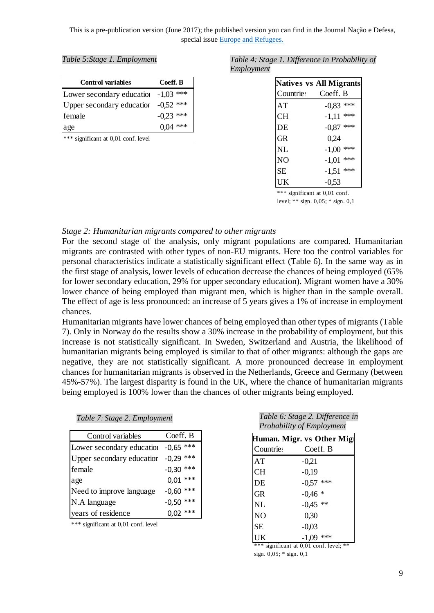| <b>Control variables</b>              | Coeff. B    |
|---------------------------------------|-------------|
| Lower secondary education $-1,03$ *** |             |
| Upper secondary education -0,52 ***   |             |
| female                                | $-0.23$ *** |
| age                                   | $0.04$ ***  |

\*\*\* significant at 0,01 conf. level

#### *Table 5:Stage 1. Employment Table 4: Stage 1. Difference in Probability of Employment*

|                | <b>Natives vs All Migrants</b> |
|----------------|--------------------------------|
|                | Countries Coeff. B             |
| AT             | $-0.83$ ***                    |
| CН             | $-1,11$ ***                    |
| DE             | $-0.87$ ***                    |
| GR             | 0.24                           |
| <b>NL</b>      | $-1,00$ ***                    |
| N <sub>O</sub> | $-1,01$ ***                    |
| <b>SE</b>      | $-1,51$ ***                    |
| UK             | $-0,53$                        |

\*\*\* significant at 0,01 conf.

level; \*\* sign. 0,05; \* sign. 0,1

#### *Stage 2: Humanitarian migrants compared to other migrants*

For the second stage of the analysis, only migrant populations are compared. Humanitarian migrants are contrasted with other types of non-EU migrants. Here too the control variables for personal characteristics indicate a statistically significant effect (Table 6). In the same way as in the first stage of analysis, lower levels of education decrease the chances of being employed (65% for lower secondary education, 29% for upper secondary education). Migrant women have a 30% lower chance of being employed than migrant men, which is higher than in the sample overall. The effect of age is less pronounced: an increase of 5 years gives a 1% of increase in employment chances.

Humanitarian migrants have lower chances of being employed than other types of migrants (Table 7). Only in Norway do the results show a 30% increase in the probability of employment, but this increase is not statistically significant. In Sweden, Switzerland and Austria, the likelihood of humanitarian migrants being employed is similar to that of other migrants: although the gaps are negative, they are not statistically significant. A more pronounced decrease in employment chances for humanitarian migrants is observed in the Netherlands, Greece and Germany (between 45%-57%). The largest disparity is found in the UK, where the chance of humanitarian migrants being employed is 100% lower than the chances of other migrants being employed.

| Table 7: Stage 2. Employment |  |
|------------------------------|--|
|------------------------------|--|

| Control variables         | Coeff. B    |
|---------------------------|-------------|
| Lower secondary education | $-0.65$ *** |
| Upper secondary education | $-0.29$ *** |
| female                    | $-0,30$ *** |
| age                       | $0.01$ ***  |
| Need to improve language  | $-0,60$ *** |
| N.A language              | $-0,50$ *** |
| years of residence        | $0,02$ ***  |

\*\*\* significant at 0,01 conf. level

| Table 7: Stage 2. Employment | Table 6: Stage 2. Difference in |
|------------------------------|---------------------------------|
|                              | Probability of Employment       |

| Human. Migr. vs Other Migl |             |  |  |  |
|----------------------------|-------------|--|--|--|
| <b>Countries</b>           | Coeff. B    |  |  |  |
| AT                         | $-0,21$     |  |  |  |
| <b>CH</b>                  | $-0,19$     |  |  |  |
| DE                         | $-0.57$ *** |  |  |  |
| <b>GR</b>                  | $-0.46*$    |  |  |  |
| <b>NL</b>                  | $-0.45$ **  |  |  |  |
| N <sub>O</sub>             | 0,30        |  |  |  |
| <b>SE</b>                  | $-0,03$     |  |  |  |
| UK                         | $-1,09$ *** |  |  |  |

\*\*\* significant at 0,01 conf. level; \*\* sign. 0,05; \* sign. 0,1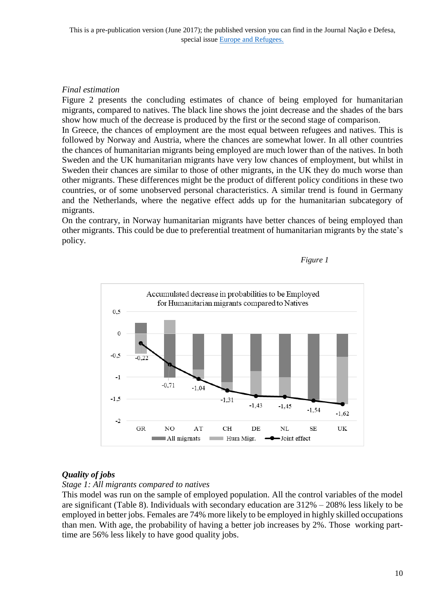# *Final estimation*

Figure 2 presents the concluding estimates of chance of being employed for humanitarian migrants, compared to natives. The black line shows the joint decrease and the shades of the bars show how much of the decrease is produced by the first or the second stage of comparison. In Greece, the chances of employment are the most equal between refugees and natives. This is

followed by Norway and Austria, where the chances are somewhat lower. In all other countries the chances of humanitarian migrants being employed are much lower than of the natives. In both Sweden and the UK humanitarian migrants have very low chances of employment, but whilst in Sweden their chances are similar to those of other migrants, in the UK they do much worse than other migrants. These differences might be the product of different policy conditions in these two countries, or of some unobserved personal characteristics. A similar trend is found in Germany and the Netherlands, where the negative effect adds up for the humanitarian subcategory of migrants.

On the contrary, in Norway humanitarian migrants have better chances of being employed than other migrants. This could be due to preferential treatment of humanitarian migrants by the state's policy.





# *Quality of jobs*

*Stage 1: All migrants compared to natives*

This model was run on the sample of employed population. All the control variables of the model are significant (Table 8). Individuals with secondary education are 312% – 208% less likely to be employed in better jobs. Females are 74% more likely to be employed in highly skilled occupations than men. With age, the probability of having a better job increases by 2%. Those working parttime are 56% less likely to have good quality jobs.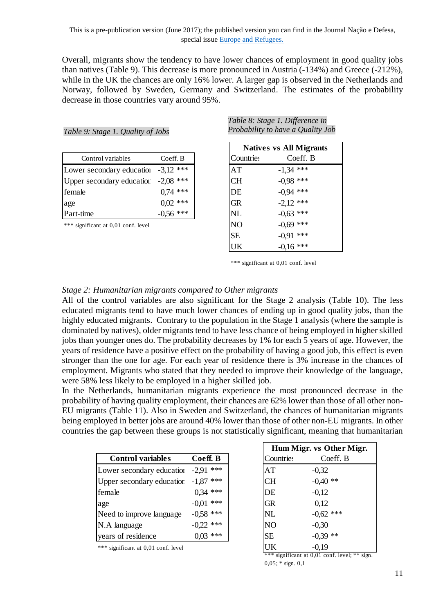Overall, migrants show the tendency to have lower chances of employment in good quality jobs than natives (Table 9). This decrease is more pronounced in Austria (-134%) and Greece (-212%), while in the UK the chances are only 16% lower. A larger gap is observed in the Netherlands and Norway, followed by Sweden, Germany and Switzerland. The estimates of the probability decrease in those countries vary around 95%.

|                                     |             |                  | Natives vs All Mig |
|-------------------------------------|-------------|------------------|--------------------|
| Control variables                   | Coeff. B    | <b>Countries</b> | Coeff.             |
| Lower secondary education -3,12 *** |             | AT               | $-1,34$ ***        |
| Upper secondary education -2,08 *** |             | <b>CH</b>        | $-0.98$ ***        |
| female                              | $0.74$ ***  | DE               | $-0.94$ ***        |
| age                                 | $0.02$ ***  | <b>GR</b>        | $-2,12$ ***        |
| Part-time                           | $-0.56$ *** | <b>NL</b>        | $-0.63$ ***        |

*Table 9: Stage 1. Quality of Jobs*

\*\*\* significant at 0,01 conf. level

*Table 8: Stage 1. Difference in Probability to have a Quality Job*

|            | <b>Natives vs All Migrants</b> |             |  |
|------------|--------------------------------|-------------|--|
| Coeff. B   | Countries                      | Coeff. B    |  |
| $3,12$ *** | AT                             | $-1,34$ *** |  |
| $2,08$ *** | CН                             | $-0.98$ *** |  |
| $0,74$ *** | DE                             | $-0.94$ *** |  |
| $0,02$ *** | <b>GR</b>                      | $-2,12$ *** |  |
| $0.56$ *** | $\sf NL$                       | $-0.63$ *** |  |
|            | N <sub>O</sub>                 | $-0.69$ *** |  |
|            | <b>SE</b>                      | $-0.91$ *** |  |
|            | UK                             | $-0.16$ *** |  |

\*\*\* significant at 0,01 conf. level

# *Stage 2: Humanitarian migrants compared to Other migrants*

All of the control variables are also significant for the Stage 2 analysis (Table 10). The less educated migrants tend to have much lower chances of ending up in good quality jobs, than the highly educated migrants. Contrary to the population in the Stage 1 analysis (where the sample is dominated by natives), older migrants tend to have less chance of being employed in higher skilled jobs than younger ones do. The probability decreases by 1% for each 5 years of age. However, the years of residence have a positive effect on the probability of having a good job, this effect is even stronger than the one for age. For each year of residence there is 3% increase in the chances of employment. Migrants who stated that they needed to improve their knowledge of the language, were 58% less likely to be employed in a higher skilled job.

In the Netherlands, humanitarian migrants experience the most pronounced decrease in the probability of having quality employment, their chances are 62% lower than those of all other non-EU migrants (Table 11). Also in Sweden and Switzerland, the chances of humanitarian migrants being employed in better jobs are around 40% lower than those of other non-EU migrants. In other countries the gap between these groups is not statistically significant, meaning that humanitarian

|                                     |             |           | <b>HUMI MILL</b> 19 OUR |
|-------------------------------------|-------------|-----------|-------------------------|
| <b>Control variables</b>            | Coeff. B    | Countries | Coeff.                  |
| Lower secondary education           | $-2.91$ *** | AT        | $-0,32$                 |
| Upper secondary education -1,87 *** |             | <b>CH</b> | $-0.40$ **              |
| female                              | $0,34$ ***  | DE        | $-0,12$                 |
| age                                 | $-0.01$ *** | <b>GR</b> | 0,12                    |
| Need to improve language            | $-0.58$ *** | <b>NL</b> | $-0.62$ ***             |
| N.A language                        | $-0.22$ *** | <b>NO</b> | $-0,30$                 |
| years of residence                  | $0,03$ ***  | <b>SE</b> | $-0.39$ **              |

\*\*\* significant at 0,01 conf. level

|                | Hum Migr. vs Other Migr. |             |  |  |
|----------------|--------------------------|-------------|--|--|
| Coeff. B       | <b>Countries</b>         | Coeff. B    |  |  |
| ***<br>$-2,91$ | AT                       | $-0,32$     |  |  |
| $-1,87$ ***    | <b>CH</b>                | $-0,40$ **  |  |  |
| $0,34$ ***     | DE                       | $-0,12$     |  |  |
| $-0.01$ ***    | GR                       | 0,12        |  |  |
| $-0.58$ ***    | <b>NL</b>                | $-0.62$ *** |  |  |
| $-0.22$ ***    | N <sub>O</sub>           | $-0,30$     |  |  |
| $0,03$ ***     | <b>SE</b>                | $-0,39$ **  |  |  |
|                | UK                       | $-0,19$     |  |  |

\*\*\* significant at 0,01 conf. level; \*\* sign.  $0,05$ ;  $*$  sign.  $0,1$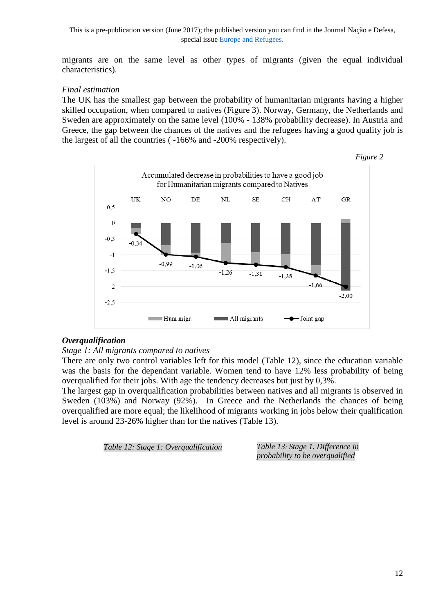migrants are on the same level as other types of migrants (given the equal individual characteristics).

### *Final estimation*

The UK has the smallest gap between the probability of humanitarian migrants having a higher skilled occupation, when compared to natives (Figure 3). Norway, Germany, the Netherlands and Sweden are approximately on the same level (100% - 138% probability decrease). In Austria and Greece, the gap between the chances of the natives and the refugees having a good quality job is the largest of all the countries ( -166% and -200% respectively).



#### *Overqualification*

#### *Stage 1: All migrants compared to natives*

There are only two control variables left for this model (Table 12), since the education variable was the basis for the dependant variable. Women tend to have 12% less probability of being overqualified for their jobs. With age the tendency decreases but just by 0,3%.

The largest gap in overqualification probabilities between natives and all migrants is observed in Sweden (103%) and Norway (92%). In Greece and the Netherlands the chances of being overqualified are more equal; the likelihood of migrants working in jobs below their qualification level is around 23-26% higher than for the natives (Table 13).

*Table 12: Stage 1: Overqualification Table 13: Stage 1. Difference in* 

*probability to be overqualified*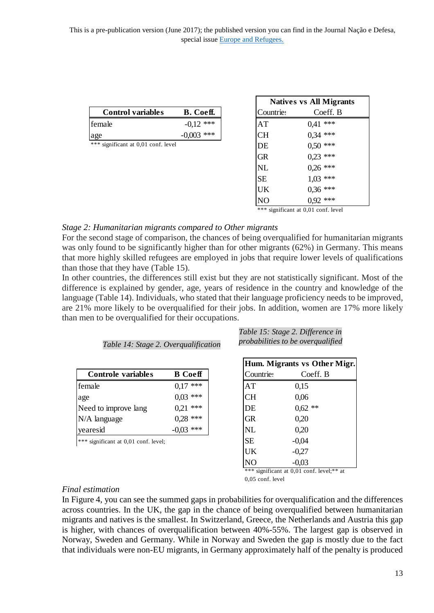| <b>Control variables</b>            | <b>B.</b> Coeff. | Countries | Coeff.     |
|-------------------------------------|------------------|-----------|------------|
| female                              | ***              | AT        | ***<br>141 |
| age                                 | ***              |           | $0.34$ *** |
| *** significant at 0,01 conf. level |                  |           | ;∩ ∗∗∗     |

|             |                  | <b>Natives vs All Migrants</b> |  |
|-------------|------------------|--------------------------------|--|
| B. Coeff.   | <b>Countries</b> | Coeff. B                       |  |
| $-0.12$ *** | AT               | $0.41$ ***                     |  |
| $0,003$ *** | <b>CH</b>        | $0,34$ ***                     |  |
|             | DE               | $0,50$ ***                     |  |
|             | <b>GR</b>        | $0.23$ ***                     |  |
|             | NL               | $0.26$ ***                     |  |
|             | <b>SE</b>        | $1,03$ ***                     |  |
|             | UK               | $0,36$ ***                     |  |
|             | N <sub>O</sub>   | $0.92$ ***                     |  |

significant at 0.01 conf. level

# *Stage 2: Humanitarian migrants compared to Other migrants*

For the second stage of comparison, the chances of being overqualified for humanitarian migrants was only found to be significantly higher than for other migrants (62%) in Germany. This means that more highly skilled refugees are employed in jobs that require lower levels of qualifications than those that they have (Table 15).

In other countries, the differences still exist but they are not statistically significant. Most of the difference is explained by gender, age, years of residence in the country and knowledge of the language (Table 14). Individuals, who stated that their language proficiency needs to be improved, are 21% more likely to be overqualified for their jobs. In addition, women are 17% more likely than men to be overqualified for their occupations.

|  | Table 14: Stage 2. Overqualification |  |  |
|--|--------------------------------------|--|--|
|  |                                      |  |  |

|                           |                |                  | $22$ which $27$ and $27$ and $27$ |
|---------------------------|----------------|------------------|-----------------------------------|
| <b>Controle variables</b> | <b>B</b> Coeff | <b>Countries</b> | Coeff                             |
| female                    | ***<br>0,17    | AT               | 0,15                              |
| age                       | $0,03$ ***     | <b>CH</b>        | 0,06                              |
| Need to improve lang      | $***$<br>0,21  | DE               | $0,62$ **                         |
| N/A language              | $0.28$ ***     | <b>GR</b>        | 0,20                              |
| yearesid                  | $-0.03$ ***    | <b>NL</b>        | 0,20                              |
|                           |                |                  |                                   |

significant at  $0,01$  conf. level;

| Table 15: Stage 2. Difference in  |  |
|-----------------------------------|--|
| probabilities to be overqualified |  |

|                         |           | Hum. Migrants vs Other Migr. |  |  |  |  |
|-------------------------|-----------|------------------------------|--|--|--|--|
| <b>B</b> Coeff          | Countries | Coeff. B                     |  |  |  |  |
| $0,17$ ***              | AT        | 0,15                         |  |  |  |  |
| $0,03$ ***              | <b>CH</b> | 0,06                         |  |  |  |  |
| $0.21$ ***              | DE        | $0,62$ **                    |  |  |  |  |
| $0,28$ ***<br>-0,03 *** | <b>GR</b> | 0,20                         |  |  |  |  |
|                         | <b>NL</b> | 0,20                         |  |  |  |  |
|                         | <b>SE</b> | $-0,04$                      |  |  |  |  |
|                         | UK        | $-0,27$                      |  |  |  |  |
|                         | NO        | $-0.03$                      |  |  |  |  |

\*\*\* significant at 0,01 conf. level;\*\* at 0,05 conf. level

# *Final estimation*

In Figure 4, you can see the summed gaps in probabilities for overqualification and the differences across countries. In the UK, the gap in the chance of being overqualified between humanitarian migrants and natives is the smallest. In Switzerland, Greece, the Netherlands and Austria this gap is higher, with chances of overqualification between 40%-55%. The largest gap is observed in Norway, Sweden and Germany. While in Norway and Sweden the gap is mostly due to the fact that individuals were non-EU migrants, in Germany approximately half of the penalty is produced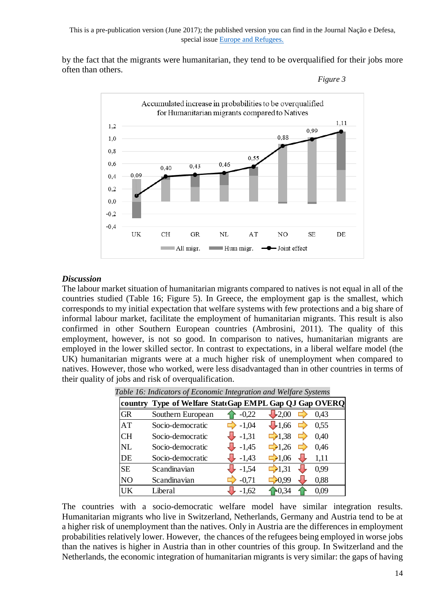by the fact that the migrants were humanitarian, they tend to be overqualified for their jobs more often than others.



#### *Discussion*

The labour market situation of humanitarian migrants compared to natives is not equal in all of the countries studied (Table 16; Figure 5). In Greece, the employment gap is the smallest, which corresponds to my initial expectation that welfare systems with few protections and a big share of informal labour market, facilitate the employment of humanitarian migrants. This result is also confirmed in other Southern European countries (Ambrosini, 2011). The quality of this employment, however, is not so good. In comparison to natives, humanitarian migrants are employed in the lower skilled sector. In contrast to expectations, in a liberal welfare model (the UK) humanitarian migrants were at a much higher risk of unemployment when compared to natives. However, those who worked, were less disadvantaged than in other countries in terms of their quality of jobs and risk of overqualification.

|           | country Type of Welfare StateGap EMPL Gap QJ Gap OVERQ |                    |                    |    |      |
|-----------|--------------------------------------------------------|--------------------|--------------------|----|------|
| <b>GR</b> | Southern European                                      | $-0.22$            | $-2.00$            |    | 0.43 |
| AT        | Socio-democratic                                       | $-1,04$            | $\bigcup$ 1.66     | ▭  | 0,55 |
| <b>CH</b> | Socio-democratic                                       | $\downarrow$ -1,31 | $\Box$ 1,38        | E. | 0.40 |
| NL        | Socio-democratic                                       | $-1,45$            | $\Box$ 1.26        | E. | 0.46 |
| DE        | Socio-democratic                                       | $-1,43$            | $\Rightarrow 1,06$ |    | 1,11 |
| <b>SE</b> | Scandinavian                                           | $-1,54$            | $\Box$ 1.31        |    | 0.99 |
| <b>NO</b> | Scandinavian                                           | $-0.71$            | $-0.99$            |    | 0,88 |
| UK        | Liberal                                                | $-1,62$            | $E$ 0.34           |    | 0.09 |

*Table 16: Indicators of Economic Integration and Welfare Systems*

The countries with a socio-democratic welfare model have similar integration results. Humanitarian migrants who live in Switzerland, Netherlands, Germany and Austria tend to be at a higher risk of unemployment than the natives. Only in Austria are the differences in employment probabilities relatively lower. However, the chances of the refugees being employed in worse jobs than the natives is higher in Austria than in other countries of this group. In Switzerland and the Netherlands, the economic integration of humanitarian migrants is very similar: the gaps of having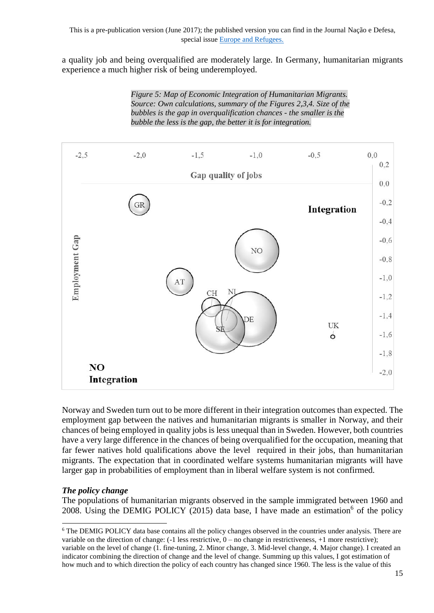a quality job and being overqualified are moderately large. In Germany, humanitarian migrants experience a much higher risk of being underemployed.

> *Figure 5: Map of Economic Integration of Humanitarian Migrants. Source: Own calculations, summary of the Figures 2,3,4. Size of the bubbles is the gap in overqualification chances - the smaller is the bubble the less is the gap, the better it is for integration.*



Norway and Sweden turn out to be more different in their integration outcomes than expected. The employment gap between the natives and humanitarian migrants is smaller in Norway, and their chances of being employed in quality jobs is less unequal than in Sweden. However, both countries have a very large difference in the chances of being overqualified for the occupation, meaning that far fewer natives hold qualifications above the level required in their jobs, than humanitarian migrants. The expectation that in coordinated welfare systems humanitarian migrants will have larger gap in probabilities of employment than in liberal welfare system is not confirmed.

# *The policy change*

-

The populations of humanitarian migrants observed in the sample immigrated between 1960 and 2008. Using the DEMIG POLICY (2015) data base, I have made an estimation<sup>6</sup> of the policy

<sup>&</sup>lt;sup>6</sup> The DEMIG POLICY data base contains all the policy changes observed in the countries under analysis. There are variable on the direction of change:  $(-1 \text{ less restrictive}, 0 - \text{no change in restrictiveness}, +1 \text{ more restrictive});$ variable on the level of change (1. fine-tuning, 2. Minor change, 3. Mid-level change, 4. Major change). I created an indicator combining the direction of change and the level of change. Summing up this values, I got estimation of how much and to which direction the policy of each country has changed since 1960. The less is the value of this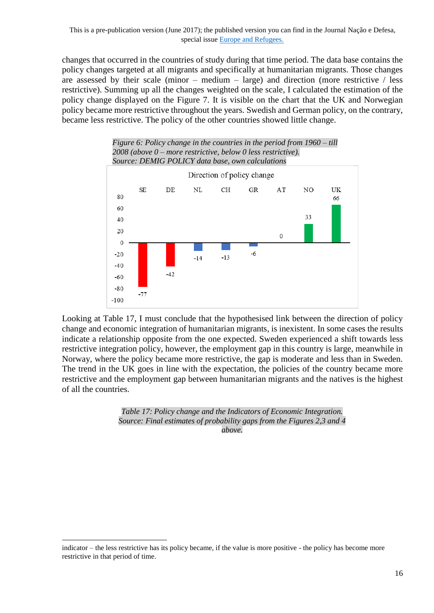changes that occurred in the countries of study during that time period. The data base contains the policy changes targeted at all migrants and specifically at humanitarian migrants. Those changes are assessed by their scale (minor  $-$  medium  $-$  large) and direction (more restrictive / less restrictive). Summing up all the changes weighted on the scale, I calculated the estimation of the policy change displayed on the Figure 7. It is visible on the chart that the UK and Norwegian policy became more restrictive throughout the years. Swedish and German policy, on the contrary, became less restrictive. The policy of the other countries showed little change.



Looking at Table 17, I must conclude that the hypothesised link between the direction of policy change and economic integration of humanitarian migrants, is inexistent. In some cases the results indicate a relationship opposite from the one expected. Sweden experienced a shift towards less restrictive integration policy, however, the employment gap in this country is large, meanwhile in Norway, where the policy became more restrictive, the gap is moderate and less than in Sweden. The trend in the UK goes in line with the expectation, the policies of the country became more restrictive and the employment gap between humanitarian migrants and the natives is the highest of all the countries.

> *Table 17: Policy change and the Indicators of Economic Integration. Source: Final estimates of probability gaps from the Figures 2,3 and 4 above.*

1

indicator – the less restrictive has its policy became, if the value is more positive - the policy has become more restrictive in that period of time.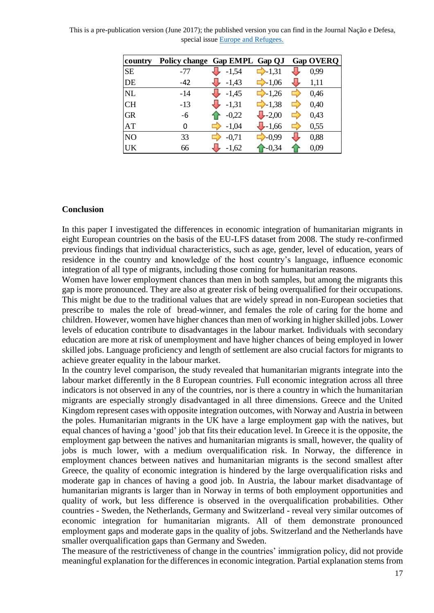| country        | Policy change Gap EMPL Gap QJ |         |                     |    | <b>Gap OVERQ</b> |
|----------------|-------------------------------|---------|---------------------|----|------------------|
| <b>SE</b>      | -77                           | $-1,54$ | $\rightarrow$ -1,31 |    | 0.99             |
| DE             | -42                           | $-1,43$ | $\rightarrow 1,06$  |    | 1,11             |
| <b>NL</b>      | $-14$                         | $-1,45$ | $\rightarrow$ -1,26 | ▬  | 0.46             |
| <b>CH</b>      | $-13$                         | $-1,31$ | $\rightarrow$ -1,38 | E) | 0,40             |
| <b>GR</b>      | -6                            | $-0,22$ | $\bigcup -2,00$     | E) | 0,43             |
| AT             | 0                             | $-1,04$ | $-1,66$             | E) | 0,55             |
| N <sub>O</sub> | 33                            | $-0,71$ | $-0.99$             |    | 0,88             |
| <b>UK</b>      | 66                            | $-1,62$ | $-0,34$             |    | 0,09             |

This is a pre-publication version (June 2017); the published version you can find in the Journal Nação e Defesa, special issue [Europe and Refugees.](https://www.idn.gov.pt/index.php?mod=1321&cod=152#sthash.zrjJtFgv.4brySevt.dpbs)

#### **Conclusion**

In this paper I investigated the differences in economic integration of humanitarian migrants in eight European countries on the basis of the EU-LFS dataset from 2008. The study re-confirmed previous findings that individual characteristics, such as age, gender, level of education, years of residence in the country and knowledge of the host country's language, influence economic integration of all type of migrants, including those coming for humanitarian reasons.

Women have lower employment chances than men in both samples, but among the migrants this gap is more pronounced. They are also at greater risk of being overqualified for their occupations. This might be due to the traditional values that are widely spread in non-European societies that prescribe to males the role of bread-winner, and females the role of caring for the home and children. However, women have higher chances than men of working in higher skilled jobs. Lower levels of education contribute to disadvantages in the labour market. Individuals with secondary education are more at risk of unemployment and have higher chances of being employed in lower skilled jobs. Language proficiency and length of settlement are also crucial factors for migrants to achieve greater equality in the labour market.

In the country level comparison, the study revealed that humanitarian migrants integrate into the labour market differently in the 8 European countries. Full economic integration across all three indicators is not observed in any of the countries, nor is there a country in which the humanitarian migrants are especially strongly disadvantaged in all three dimensions. Greece and the United Kingdom represent cases with opposite integration outcomes, with Norway and Austria in between the poles. Humanitarian migrants in the UK have a large employment gap with the natives, but equal chances of having a 'good' job that fits their education level. In Greece it is the opposite, the employment gap between the natives and humanitarian migrants is small, however, the quality of jobs is much lower, with a medium overqualification risk. In Norway, the difference in employment chances between natives and humanitarian migrants is the second smallest after Greece, the quality of economic integration is hindered by the large overqualification risks and moderate gap in chances of having a good job. In Austria, the labour market disadvantage of humanitarian migrants is larger than in Norway in terms of both employment opportunities and quality of work, but less difference is observed in the overqualification probabilities. Other countries - Sweden, the Netherlands, Germany and Switzerland - reveal very similar outcomes of economic integration for humanitarian migrants. All of them demonstrate pronounced employment gaps and moderate gaps in the quality of jobs. Switzerland and the Netherlands have smaller overqualification gaps than Germany and Sweden. **EXPLANT THE VALUE OF THE VALUE (SO CAPPLE 1990) CAPPLE CAPPLE (SO CAPPLE 1990)** CAPPLE 1990 (CHE 1991) (SEE 1991) (SEE 1991) (SEE 1991) (SEE 1991) (SEE 1991) (SEE 1991) (SEE 1991) (SEE 1991) (SEE 1991) (SEE 1991) (SEE 19

The measure of the restrictiveness of change in the countries' immigration policy, did not provide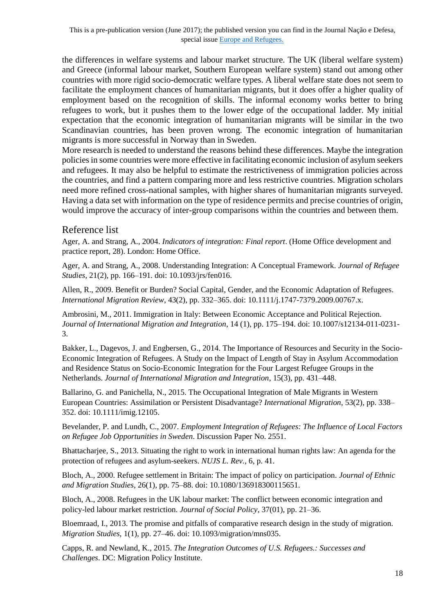the differences in welfare systems and labour market structure. The UK (liberal welfare system) and Greece (informal labour market, Southern European welfare system) stand out among other countries with more rigid socio-democratic welfare types. A liberal welfare state does not seem to facilitate the employment chances of humanitarian migrants, but it does offer a higher quality of employment based on the recognition of skills. The informal economy works better to bring refugees to work, but it pushes them to the lower edge of the occupational ladder. My initial expectation that the economic integration of humanitarian migrants will be similar in the two Scandinavian countries, has been proven wrong. The economic integration of humanitarian migrants is more successful in Norway than in Sweden.

More research is needed to understand the reasons behind these differences. Maybe the integration policies in some countries were more effective in facilitating economic inclusion of asylum seekers and refugees. It may also be helpful to estimate the restrictiveness of immigration policies across the countries, and find a pattern comparing more and less restrictive countries. Migration scholars need more refined cross-national samples, with higher shares of humanitarian migrants surveyed. Having a data set with information on the type of residence permits and precise countries of origin, would improve the accuracy of inter-group comparisons within the countries and between them.

# Reference list

Ager, A. and Strang, A., 2004. *Indicators of integration: Final report*. (Home Office development and practice report, 28). London: Home Office.

Ager, A. and Strang, A., 2008. Understanding Integration: A Conceptual Framework. *Journal of Refugee Studies*, 21(2), pp. 166–191. doi: 10.1093/jrs/fen016.

Allen, R., 2009. Benefit or Burden? Social Capital, Gender, and the Economic Adaptation of Refugees. *International Migration Review*, 43(2), pp. 332–365. doi: 10.1111/j.1747-7379.2009.00767.x.

Ambrosini, M., 2011. Immigration in Italy: Between Economic Acceptance and Political Rejection. *Journal of International Migration and Integration*, 14 (1), pp. 175–194. doi: 10.1007/s12134-011-0231- 3.

Bakker, L., Dagevos, J. and Engbersen, G., 2014. The Importance of Resources and Security in the Socio-Economic Integration of Refugees. A Study on the Impact of Length of Stay in Asylum Accommodation and Residence Status on Socio-Economic Integration for the Four Largest Refugee Groups in the Netherlands. *Journal of International Migration and Integration*, 15(3), pp. 431–448.

Ballarino, G. and Panichella, N., 2015. The Occupational Integration of Male Migrants in Western European Countries: Assimilation or Persistent Disadvantage? *International Migration*, 53(2), pp. 338– 352. doi: 10.1111/imig.12105.

Bevelander, P. and Lundh, C., 2007. *Employment Integration of Refugees: The Influence of Local Factors on Refugee Job Opportunities in Sweden*. Discussion Paper No. 2551.

Bhattacharjee, S., 2013. Situating the right to work in international human rights law: An agenda for the protection of refugees and asylum-seekers. *NUJS L. Rev.*, 6, p. 41.

Bloch, A., 2000. Refugee settlement in Britain: The impact of policy on participation. *Journal of Ethnic and Migration Studies*, 26(1), pp. 75–88. doi: 10.1080/136918300115651.

Bloch, A., 2008. Refugees in the UK labour market: The conflict between economic integration and policy-led labour market restriction. *Journal of Social Policy*, 37(01), pp. 21–36.

Bloemraad, I., 2013. The promise and pitfalls of comparative research design in the study of migration. *Migration Studies*, 1(1), pp. 27–46. doi: 10.1093/migration/mns035.

Capps, R. and Newland, K., 2015. *The Integration Outcomes of U.S. Refugees.: Successes and Challenges*. DC: Migration Policy Institute.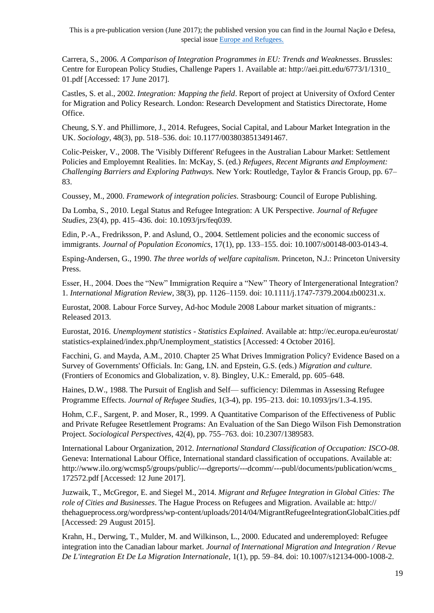Carrera, S., 2006. *A Comparison of Integration Programmes in EU: Trends and Weaknesses*. Brussles: Centre for European Policy Studies, Challenge Papers 1. Available at: http://aei.pitt.edu/6773/1/1310\_ 01.pdf [Accessed: 17 June 2017].

Castles, S. et al., 2002. *Integration: Mapping the field*. Report of project at University of Oxford Center for Migration and Policy Research. London: Research Development and Statistics Directorate, Home Office.

Cheung, S.Y. and Phillimore, J., 2014. Refugees, Social Capital, and Labour Market Integration in the UK. *Sociology*, 48(3), pp. 518–536. doi: 10.1177/0038038513491467.

Colic-Peisker, V., 2008. The 'Visibly Different' Refugees in the Australian Labour Market: Settlement Policies and Employemnt Realities. In: McKay, S. (ed.) *Refugees, Recent Migrants and Employment: Challenging Barriers and Exploring Pathways.* New York: Routledge, Taylor & Francis Group, pp. 67– 83.

Coussey, M., 2000. *Framework of integration policies*. Strasbourg: Council of Europe Publishing.

Da Lomba, S., 2010. Legal Status and Refugee Integration: A UK Perspective. *Journal of Refugee Studies*, 23(4), pp. 415–436. doi: 10.1093/jrs/feq039.

Edin, P.-A., Fredriksson, P. and Aslund, O., 2004. Settlement policies and the economic success of immigrants. *Journal of Population Economics*, 17(1), pp. 133–155. doi: 10.1007/s00148-003-0143-4.

Esping-Andersen, G., 1990. *The three worlds of welfare capitalism*. Princeton, N.J.: Princeton University Press.

Esser, H., 2004. Does the "New" Immigration Require a "New" Theory of Intergenerational Integration? 1. *International Migration Review*, 38(3), pp. 1126–1159. doi: 10.1111/j.1747-7379.2004.tb00231.x.

Eurostat, 2008. Labour Force Survey, Ad-hoc Module 2008 Labour market situation of migrants.: Released 2013.

Eurostat, 2016. *Unemployment statistics - Statistics Explained*. Available at: http://ec.europa.eu/eurostat/ statistics-explained/index.php/Unemployment\_statistics [Accessed: 4 October 2016].

Facchini, G. and Mayda, A.M., 2010. Chapter 25 What Drives Immigration Policy? Evidence Based on a Survey of Governments' Officials. In: Gang, I.N. and Epstein, G.S. (eds.) *Migration and culture.*  (Frontiers of Economics and Globalization, v. 8). Bingley, U.K.: Emerald, pp. 605–648.

Haines, D.W., 1988. The Pursuit of English and Self— sufficiency: Dilemmas in Assessing Refugee Programme Effects. *Journal of Refugee Studies*, 1(3-4), pp. 195–213. doi: 10.1093/jrs/1.3-4.195.

Hohm, C.F., Sargent, P. and Moser, R., 1999. A Quantitative Comparison of the Effectiveness of Public and Private Refugee Resettlement Programs: An Evaluation of the San Diego Wilson Fish Demonstration Project. *Sociological Perspectives*, 42(4), pp. 755–763. doi: 10.2307/1389583.

International Labour Organization, 2012. *International Standard Classification of Occupation: ISCO-08*. Geneva: International Labour Office, International standard classification of occupations. Available at: http://www.ilo.org/wcmsp5/groups/public/---dgreports/---dcomm/---publ/documents/publication/wcms\_ 172572.pdf [Accessed: 12 June 2017].

Juzwaik, T., McGregor, E. and Siegel M., 2014. *Migrant and Refugee Integration in Global Cities: The role of Cities and Businesses*. The Hague Process on Refugees and Migration. Available at: http:// thehagueprocess.org/wordpress/wp-content/uploads/2014/04/MigrantRefugeeIntegrationGlobalCities.pdf [Accessed: 29 August 2015].

Krahn, H., Derwing, T., Mulder, M. and Wilkinson, L., 2000. Educated and underemployed: Refugee integration into the Canadian labour market. *Journal of International Migration and Integration / Revue De L'integration Et De La Migration Internationale*, 1(1), pp. 59–84. doi: 10.1007/s12134-000-1008-2.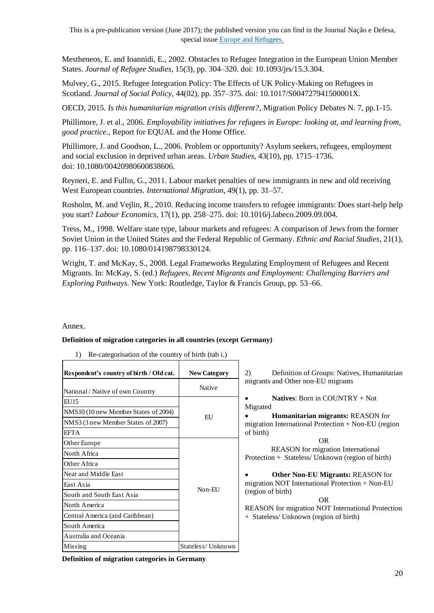Mestheneos, E. and Ioannidi, E., 2002. Obstacles to Refugee Integration in the European Union Member States. *Journal of Refugee Studies*, 15(3), pp. 304–320. doi: 10.1093/jrs/15.3.304.

Mulvey, G., 2015. Refugee Integration Policy: The Effects of UK Policy-Making on Refugees in Scotland. *Journal of Social Policy*, 44(02), pp. 357–375. doi: 10.1017/S004727941500001X.

OECD, 2015. *Is this humanitarian migration crisis different?*, Migration Policy Debates N. 7, pp.1-15.

Phillimore, J. et al., 2006. *Employability initiatives for refugees in Europe: looking at, and learning from, good practice.*, Report for EQUAL and the Home Office.

Phillimore, J. and Goodson, L., 2006. Problem or opportunity? Asylum seekers, refugees, employment and social exclusion in deprived urban areas. *Urban Studies*, 43(10), pp. 1715–1736. doi: 10.1080/00420980600838606.

Reyneri, E. and Fullin, G., 2011. Labour market penalties of new immigrants in new and old receiving West European countries. *International Migration*, 49(1), pp. 31–57.

Rosholm, M. and Vejlin, R., 2010. Reducing income transfers to refugee immigrants: Does start-help help you start? *Labour Economics*, 17(1), pp. 258–275. doi: 10.1016/j.labeco.2009.09.004.

Tress, M., 1998. Welfare state type, labour markets and refugees: A comparison of Jews from the former Soviet Union in the United States and the Federal Republic of Germany. *Ethnic and Racial Studies*, 21(1), pp. 116–137. doi: 10.1080/014198798330124.

Wright, T. and McKay, S., 2008. Legal Frameworks Regulating Employment of Refugees and Recent Migrants. In: McKay, S. (ed.) *Refugees, Recent Migrants and Employment: Challenging Barriers and Exploring Pathways.* New York: Routledge, Taylor & Francis Group, pp. 53–66.

Annex.

#### **Definition of migration categories in all countries (except Germany)**

| 1) Re-categorisation of the country of birth (tab i.) |  |  |
|-------------------------------------------------------|--|--|
|                                                       |  |  |

| Respondent's country of birth / Old cat. | <b>New Category</b> | (2)<br>Definition of Groups: Natives, Humanitarian                                             |
|------------------------------------------|---------------------|------------------------------------------------------------------------------------------------|
| National / Native of own Country         | Native              | migrants and Other non-EU migrants                                                             |
| EU15                                     |                     | <b>Natives:</b> Born in COUNTRY $+$ Not<br>Migrated                                            |
| NMS10 (10 new Member States of 2004)     | HJ                  | <b>Humanitarian migrants: REASON for</b>                                                       |
| NMS3 (3 new Member States of 2007)       |                     | migration International Protection + Non-EU (region                                            |
| <b>EFTA</b>                              |                     | of birth)                                                                                      |
| Other Europe                             |                     | OR.                                                                                            |
| North Africa                             |                     | <b>REASON</b> for migration International<br>Protection + Stateless/ Unknown (region of birth) |
| Other Africa                             |                     |                                                                                                |
| Near and Middle East                     |                     | <b>Other Non-EU Migrants: REASON for</b>                                                       |
| East Asia                                |                     | migration NOT International Protection + Non-EU                                                |
| South and South East Asia                | Non-EU              | (region of birth)                                                                              |
| North America                            |                     | <b>OR</b><br>REASON for migration NOT International Protection                                 |
| Central America (and Caribbean)          |                     | + Stateless/ Unknown (region of birth)                                                         |
| South America                            |                     |                                                                                                |
| Australia and Oceania                    |                     |                                                                                                |
| Missing                                  | Stateless/Unknown   |                                                                                                |

**Definition of migration categories in Germany**